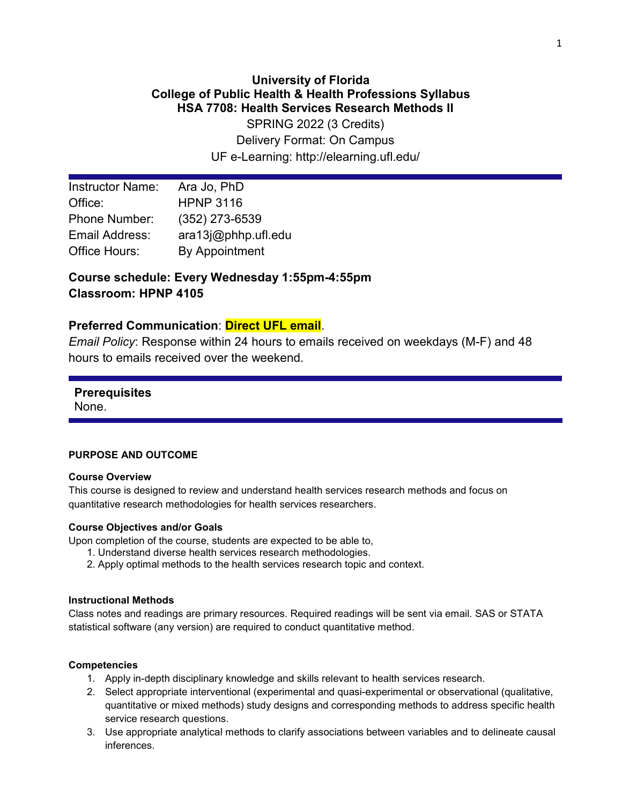# **University of Florida College of Public Health & Health Professions Syllabus HSA 7708: Health Services Research Methods II**

SPRING 2022 (3 Credits) Delivery Format: On Campus UF e-Learning: http://elearning.ufl.edu/

| <b>Instructor Name:</b> | Ara Jo, PhD         |
|-------------------------|---------------------|
| Office:                 | <b>HPNP 3116</b>    |
| <b>Phone Number:</b>    | $(352)$ 273-6539    |
| Email Address:          | ara13j@phhp.ufl.edu |
| Office Hours:           | By Appointment      |

# **Course schedule: Every Wednesday 1:55pm-4:55pm Classroom: HPNP 4105**

# **Preferred Communication**: **Direct UFL email**.

*Email Policy*: Response within 24 hours to emails received on weekdays (M-F) and 48 hours to emails received over the weekend.

# **Prerequisites**

None.

### **PURPOSE AND OUTCOME**

#### **Course Overview**

This course is designed to review and understand health services research methods and focus on quantitative research methodologies for health services researchers.

#### **Course Objectives and/or Goals**

Upon completion of the course, students are expected to be able to,

- 1. Understand diverse health services research methodologies.
- 2. Apply optimal methods to the health services research topic and context.

#### **Instructional Methods**

Class notes and readings are primary resources. Required readings will be sent via email. SAS or STATA statistical software (any version) are required to conduct quantitative method.

#### **Competencies**

- 1. Apply in-depth disciplinary knowledge and skills relevant to health services research.
- 2. Select appropriate interventional (experimental and quasi-experimental or observational (qualitative, quantitative or mixed methods) study designs and corresponding methods to address specific health service research questions.
- 3. Use appropriate analytical methods to clarify associations between variables and to delineate causal inferences.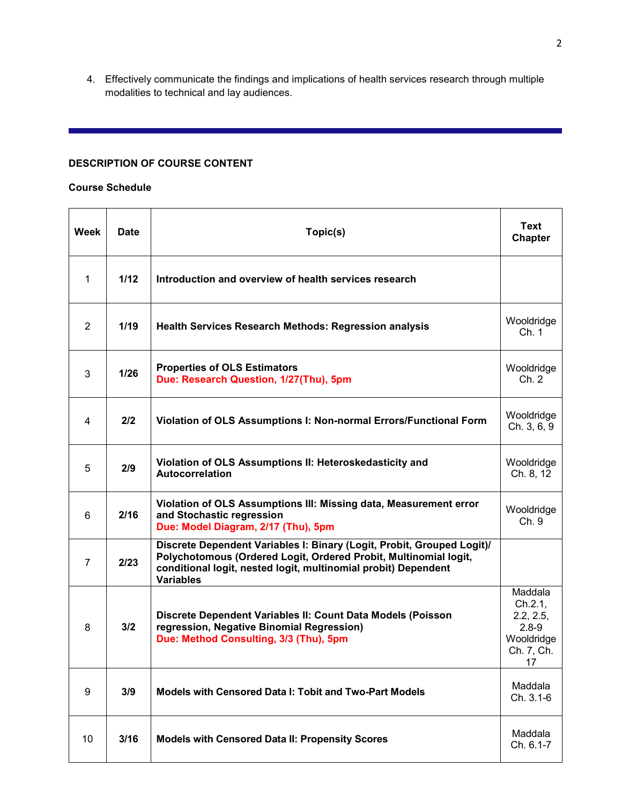4. Effectively communicate the findings and implications of health services research through multiple modalities to technical and lay audiences.

# **DESCRIPTION OF COURSE CONTENT**

#### **Course Schedule**

| Week           | <b>Date</b> | Topic(s)                                                                                                                                                                                                                         |                                                                                |
|----------------|-------------|----------------------------------------------------------------------------------------------------------------------------------------------------------------------------------------------------------------------------------|--------------------------------------------------------------------------------|
| 1              | 1/12        | Introduction and overview of health services research                                                                                                                                                                            |                                                                                |
| 2              | 1/19        | <b>Health Services Research Methods: Regression analysis</b>                                                                                                                                                                     | Wooldridge<br>Ch. 1                                                            |
| 3              | 1/26        | <b>Properties of OLS Estimators</b><br>Due: Research Question, 1/27(Thu), 5pm                                                                                                                                                    | Wooldridge<br>Ch. 2                                                            |
| 4              | 2/2         | Violation of OLS Assumptions I: Non-normal Errors/Functional Form                                                                                                                                                                | Wooldridge<br>Ch. 3, 6, 9                                                      |
| 5              | 2/9         | Violation of OLS Assumptions II: Heteroskedasticity and<br><b>Autocorrelation</b>                                                                                                                                                | Wooldridge<br>Ch. 8, 12                                                        |
| 6              | 2/16        | Violation of OLS Assumptions III: Missing data, Measurement error<br>and Stochastic regression<br>Due: Model Diagram, 2/17 (Thu), 5pm                                                                                            | Wooldridge<br>Ch. 9                                                            |
| $\overline{7}$ | 2/23        | Discrete Dependent Variables I: Binary (Logit, Probit, Grouped Logit)/<br>Polychotomous (Ordered Logit, Ordered Probit, Multinomial logit,<br>conditional logit, nested logit, multinomial probit) Dependent<br><b>Variables</b> |                                                                                |
| 8              | 3/2         | Discrete Dependent Variables II: Count Data Models (Poisson<br>regression, Negative Binomial Regression)<br>Due: Method Consulting, 3/3 (Thu), 5pm                                                                               | Maddala<br>Ch.2.1,<br>2.2, 2.5,<br>$2.8 - 9$<br>Wooldridge<br>Ch. 7, Ch.<br>17 |
| 9              | 3/9         | <b>Models with Censored Data I: Tobit and Two-Part Models</b>                                                                                                                                                                    | Maddala<br>Ch. 3.1-6                                                           |
| 10             | 3/16        | <b>Models with Censored Data II: Propensity Scores</b>                                                                                                                                                                           | Maddala<br>Ch. 6.1-7                                                           |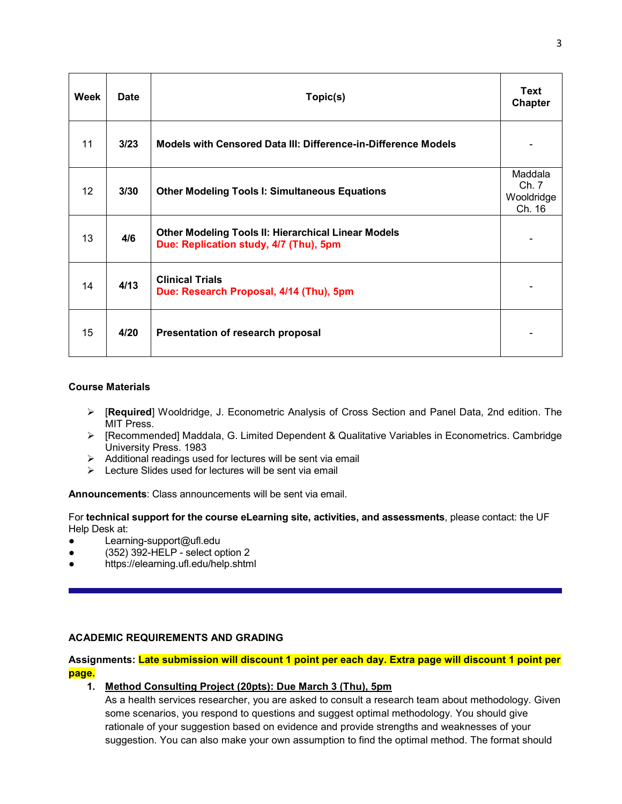| Week | <b>Date</b> | Topic(s)                                                                                             | <b>Text</b><br>Chapter                   |
|------|-------------|------------------------------------------------------------------------------------------------------|------------------------------------------|
| 11   | 3/23        | <b>Models with Censored Data III: Difference-in-Difference Models</b>                                |                                          |
| 12   | 3/30        | <b>Other Modeling Tools I: Simultaneous Equations</b>                                                | Maddala<br>Ch. 7<br>Wooldridge<br>Ch. 16 |
| 13   | 4/6         | <b>Other Modeling Tools II: Hierarchical Linear Models</b><br>Due: Replication study, 4/7 (Thu), 5pm |                                          |
| 14   | 4/13        | <b>Clinical Trials</b><br>Due: Research Proposal, 4/14 (Thu), 5pm                                    |                                          |
| 15   | 4/20        | Presentation of research proposal                                                                    |                                          |

### **Course Materials**

- [**Required**] Wooldridge, J. Econometric Analysis of Cross Section and Panel Data, 2nd edition. The MIT Press.
- [Recommended] Maddala, G. Limited Dependent & Qualitative Variables in Econometrics. Cambridge University Press. 1983
- $\triangleright$  Additional readings used for lectures will be sent via email
- $\triangleright$  Lecture Slides used for lectures will be sent via email

**Announcements**: Class announcements will be sent via email.

For **technical support for the course eLearning site, activities, and assessments**, please contact: the UF Help Desk at:

- Learning-support@ufl.edu
- (352) 392-HELP select option 2
- https://elearning.ufl.edu/help.shtml

# **ACADEMIC REQUIREMENTS AND GRADING**

# **Assignments: Late submission will discount 1 point per each day. Extra page will discount 1 point per page.**

# **1. Method Consulting Project (20pts): Due March 3 (Thu), 5pm**

As a health services researcher, you are asked to consult a research team about methodology. Given some scenarios, you respond to questions and suggest optimal methodology. You should give rationale of your suggestion based on evidence and provide strengths and weaknesses of your suggestion. You can also make your own assumption to find the optimal method. The format should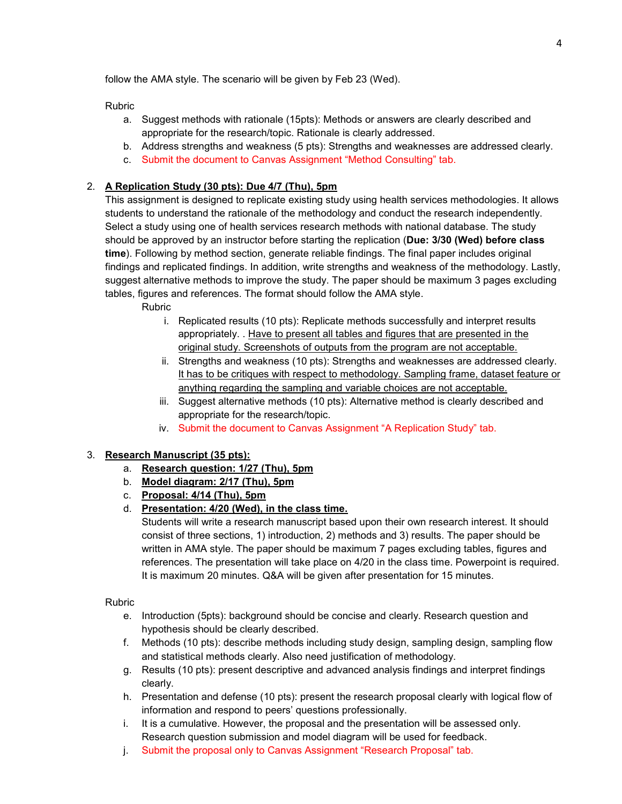follow the AMA style. The scenario will be given by Feb 23 (Wed).

Rubric

- a. Suggest methods with rationale (15pts): Methods or answers are clearly described and appropriate for the research/topic. Rationale is clearly addressed.
- b. Address strengths and weakness (5 pts): Strengths and weaknesses are addressed clearly.
- c. Submit the document to Canvas Assignment "Method Consulting" tab.

## 2. **A Replication Study (30 pts): Due 4/7 (Thu), 5pm**

This assignment is designed to replicate existing study using health services methodologies. It allows students to understand the rationale of the methodology and conduct the research independently. Select a study using one of health services research methods with national database. The study should be approved by an instructor before starting the replication (**Due: 3/30 (Wed) before class time**). Following by method section, generate reliable findings. The final paper includes original findings and replicated findings. In addition, write strengths and weakness of the methodology. Lastly, suggest alternative methods to improve the study. The paper should be maximum 3 pages excluding tables, figures and references. The format should follow the AMA style.

Rubric

- i. Replicated results (10 pts): Replicate methods successfully and interpret results appropriately. . Have to present all tables and figures that are presented in the original study. Screenshots of outputs from the program are not acceptable.
- ii. Strengths and weakness (10 pts): Strengths and weaknesses are addressed clearly. It has to be critiques with respect to methodology. Sampling frame, dataset feature or anything regarding the sampling and variable choices are not acceptable.
- iii. Suggest alternative methods (10 pts): Alternative method is clearly described and appropriate for the research/topic.
- iv. Submit the document to Canvas Assignment "A Replication Study" tab.

### 3. **Research Manuscript (35 pts):**

- a. **Research question: 1/27 (Thu), 5pm**
- b. **Model diagram: 2/17 (Thu), 5pm**
- c. **Proposal: 4/14 (Thu), 5pm**
- d. **Presentation: 4/20 (Wed), in the class time.**

Students will write a research manuscript based upon their own research interest. It should consist of three sections, 1) introduction, 2) methods and 3) results. The paper should be written in AMA style. The paper should be maximum 7 pages excluding tables, figures and references. The presentation will take place on 4/20 in the class time. Powerpoint is required. It is maximum 20 minutes. Q&A will be given after presentation for 15 minutes.

Rubric

- e. Introduction (5pts): background should be concise and clearly. Research question and hypothesis should be clearly described.
- f. Methods (10 pts): describe methods including study design, sampling design, sampling flow and statistical methods clearly. Also need justification of methodology.
- g. Results (10 pts): present descriptive and advanced analysis findings and interpret findings clearly.
- h. Presentation and defense (10 pts): present the research proposal clearly with logical flow of information and respond to peers' questions professionally.
- i. It is a cumulative. However, the proposal and the presentation will be assessed only. Research question submission and model diagram will be used for feedback.
- j. Submit the proposal only to Canvas Assignment "Research Proposal" tab.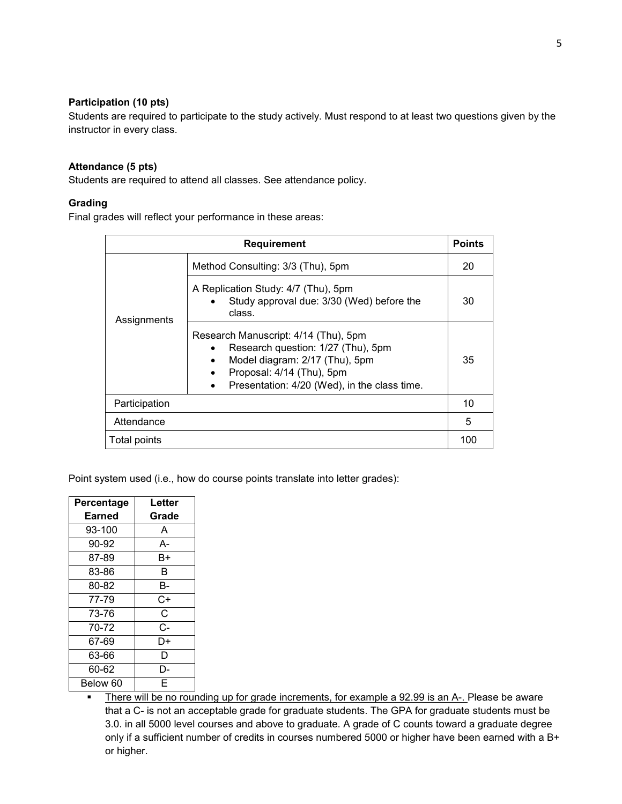#### **Participation (10 pts)**

Students are required to participate to the study actively. Must respond to at least two questions given by the instructor in every class.

#### **Attendance (5 pts)**

Students are required to attend all classes. See attendance policy.

#### **Grading**

Final grades will reflect your performance in these areas:

| <b>Requirement</b> |                                                                                                                                                                                                | <b>Points</b> |
|--------------------|------------------------------------------------------------------------------------------------------------------------------------------------------------------------------------------------|---------------|
| Assignments        | Method Consulting: 3/3 (Thu), 5pm                                                                                                                                                              |               |
|                    | A Replication Study: 4/7 (Thu), 5pm<br>Study approval due: 3/30 (Wed) before the<br>class.                                                                                                     | 30            |
|                    | Research Manuscript: 4/14 (Thu), 5pm<br>Research question: 1/27 (Thu), 5pm<br>Model diagram: 2/17 (Thu), 5pm<br>٠<br>Proposal: 4/14 (Thu), 5pm<br>Presentation: 4/20 (Wed), in the class time. | 35            |
| Participation      |                                                                                                                                                                                                | 10            |
| Attendance         |                                                                                                                                                                                                | 5             |
| Total points       |                                                                                                                                                                                                | 100           |

Point system used (i.e., how do course points translate into letter grades):

| Percentage | Letter |
|------------|--------|
| Earned     | Grade  |
| 93-100     | A      |
| 90-92      | А-     |
| 87-89      | B+     |
| 83-86      | в      |
| 80-82      | в-     |
| 77-79      | C+     |
| 73-76      | C      |
| 70-72      | C-     |
| 67-69      | D+     |
| 63-66      | D      |
| 60-62      | D-     |
| Below 60   | F      |

There will be no rounding up for grade increments, for example a 92.99 is an A-. Please be aware that a C- is not an acceptable grade for graduate students. The GPA for graduate students must be 3.0. in all 5000 level courses and above to graduate. A grade of C counts toward a graduate degree only if a sufficient number of credits in courses numbered 5000 or higher have been earned with a B+ or higher.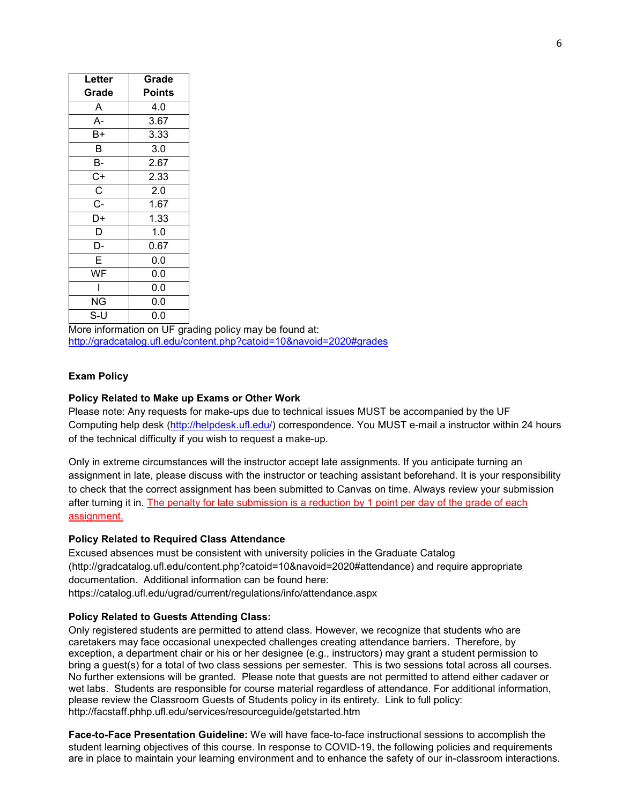| Letter                | Grade  |
|-----------------------|--------|
| Grade                 | Points |
| A                     | 4.0    |
| A-                    | 3.67   |
| B+                    | 3.33   |
| B                     | 3.0    |
| В-                    | 2.67   |
| C+                    | 2.33   |
| $\overline{\text{c}}$ | 2.0    |
| $\overline{C}$ -      | 1.67   |
| D+                    | 1.33   |
| D                     | 1.0    |
| D-                    | 0.67   |
| E                     | 0.0    |
| WF                    | 0.0    |
|                       | 0.0    |
| ΝG                    | 0.0    |
| S-U                   | 0.0    |

More information on UF grading policy may be found at: <http://gradcatalog.ufl.edu/content.php?catoid=10&navoid=2020#grades>

#### **Exam Policy**

#### **Policy Related to Make up Exams or Other Work**

Please note: Any requests for make-ups due to technical issues MUST be accompanied by the UF Computing help desk [\(http://helpdesk.ufl.edu/\)](http://helpdesk.ufl.edu/) correspondence. You MUST e-mail a instructor within 24 hours of the technical difficulty if you wish to request a make-up.

Only in extreme circumstances will the instructor accept late assignments. If you anticipate turning an assignment in late, please discuss with the instructor or teaching assistant beforehand. It is your responsibility to check that the correct assignment has been submitted to Canvas on time. Always review your submission after turning it in. The penalty for late submission is a reduction by 1 point per day of the grade of each assignment.

#### **Policy Related to Required Class Attendance**

Excused absences must be consistent with university policies in the Graduate Catalog (http://gradcatalog.ufl.edu/content.php?catoid=10&navoid=2020#attendance) and require appropriate documentation. Additional information can be found here:

https://catalog.ufl.edu/ugrad/current/regulations/info/attendance.aspx

#### **Policy Related to Guests Attending Class:**

Only registered students are permitted to attend class. However, we recognize that students who are caretakers may face occasional unexpected challenges creating attendance barriers. Therefore, by exception, a department chair or his or her designee (e.g., instructors) may grant a student permission to bring a guest(s) for a total of two class sessions per semester. This is two sessions total across all courses. No further extensions will be granted. Please note that guests are not permitted to attend either cadaver or wet labs. Students are responsible for course material regardless of attendance. For additional information, please review the Classroom Guests of Students policy in its entirety. Link to full policy: http://facstaff.phhp.ufl.edu/services/resourceguide/getstarted.htm

**Face-to-Face Presentation Guideline:** We will have face-to-face instructional sessions to accomplish the student learning objectives of this course. In response to COVID-19, the following policies and requirements are in place to maintain your learning environment and to enhance the safety of our in-classroom interactions.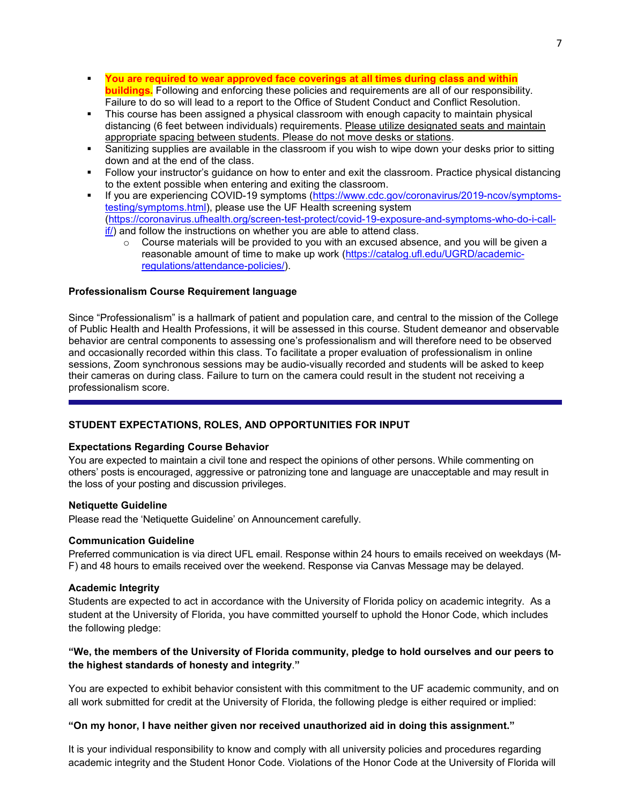- **You are required to wear approved face coverings at all times during class and within buildings.** Following and enforcing these policies and requirements are all of our responsibility. Failure to do so will lead to a report to the Office of Student Conduct and Conflict Resolution.
- This course has been assigned a physical classroom with enough capacity to maintain physical distancing (6 feet between individuals) requirements. Please utilize designated seats and maintain appropriate spacing between students. Please do not move desks or stations.
- Sanitizing supplies are available in the classroom if you wish to wipe down your desks prior to sitting down and at the end of the class.
- Follow your instructor's guidance on how to enter and exit the classroom. Practice physical distancing to the extent possible when entering and exiting the classroom.
- If you are experiencing COVID-19 symptoms [\(https://www.cdc.gov/coronavirus/2019-ncov/symptoms](https://urldefense.proofpoint.com/v2/url?u=https-3A__www.cdc.gov_coronavirus_2019-2Dncov_symptoms-2Dtesting_symptoms.html&d=DwMFaQ&c=sJ6xIWYx-zLMB3EPkvcnVg&r=9L1NHFBx5ago1nzAxjS0tw&m=IctBb63lzUZHUDGk_Fpm-kddq2CJs71sPMTsGPK-dHU&s=iTk8YjOcmX_Uh5gSzdoYYJGyEMuu-23a3SqsCL1SuT4&e=)[testing/symptoms.html\)](https://urldefense.proofpoint.com/v2/url?u=https-3A__www.cdc.gov_coronavirus_2019-2Dncov_symptoms-2Dtesting_symptoms.html&d=DwMFaQ&c=sJ6xIWYx-zLMB3EPkvcnVg&r=9L1NHFBx5ago1nzAxjS0tw&m=IctBb63lzUZHUDGk_Fpm-kddq2CJs71sPMTsGPK-dHU&s=iTk8YjOcmX_Uh5gSzdoYYJGyEMuu-23a3SqsCL1SuT4&e=), please use the UF Health screening system [\(https://coronavirus.ufhealth.org/screen-test-protect/covid-19-exposure-and-symptoms-who-do-i-call](https://coronavirus.ufhealth.org/screen-test-protect/covid-19-exposure-and-symptoms-who-do-i-call-if/)[if/\)](https://coronavirus.ufhealth.org/screen-test-protect/covid-19-exposure-and-symptoms-who-do-i-call-if/) and follow the instructions on whether you are able to attend class.
	- $\circ$  Course materials will be provided to you with an excused absence, and you will be given a reasonable amount of time to make up work [\(https://catalog.ufl.edu/UGRD/academic](https://catalog.ufl.edu/UGRD/academic-regulations/attendance-policies/)[regulations/attendance-policies/\)](https://catalog.ufl.edu/UGRD/academic-regulations/attendance-policies/).

#### **Professionalism Course Requirement language**

Since "Professionalism" is a hallmark of patient and population care, and central to the mission of the College of Public Health and Health Professions, it will be assessed in this course. Student demeanor and observable behavior are central components to assessing one's professionalism and will therefore need to be observed and occasionally recorded within this class. To facilitate a proper evaluation of professionalism in online sessions, Zoom synchronous sessions may be audio-visually recorded and students will be asked to keep their cameras on during class. Failure to turn on the camera could result in the student not receiving a professionalism score.

#### **STUDENT EXPECTATIONS, ROLES, AND OPPORTUNITIES FOR INPUT**

#### **Expectations Regarding Course Behavior**

You are expected to maintain a civil tone and respect the opinions of other persons. While commenting on others' posts is encouraged, aggressive or patronizing tone and language are unacceptable and may result in the loss of your posting and discussion privileges.

#### **Netiquette Guideline**

Please read the 'Netiquette Guideline' on Announcement carefully.

#### **Communication Guideline**

Preferred communication is via direct UFL email. Response within 24 hours to emails received on weekdays (M-F) and 48 hours to emails received over the weekend. Response via Canvas Message may be delayed.

#### **Academic Integrity**

Students are expected to act in accordance with the University of Florida policy on academic integrity. As a student at the University of Florida, you have committed yourself to uphold the Honor Code, which includes the following pledge:

### **"We, the members of the University of Florida community, pledge to hold ourselves and our peers to the highest standards of honesty and integrity**.**"**

You are expected to exhibit behavior consistent with this commitment to the UF academic community, and on all work submitted for credit at the University of Florida, the following pledge is either required or implied:

#### **"On my honor, I have neither given nor received unauthorized aid in doing this assignment."**

It is your individual responsibility to know and comply with all university policies and procedures regarding academic integrity and the Student Honor Code. Violations of the Honor Code at the University of Florida will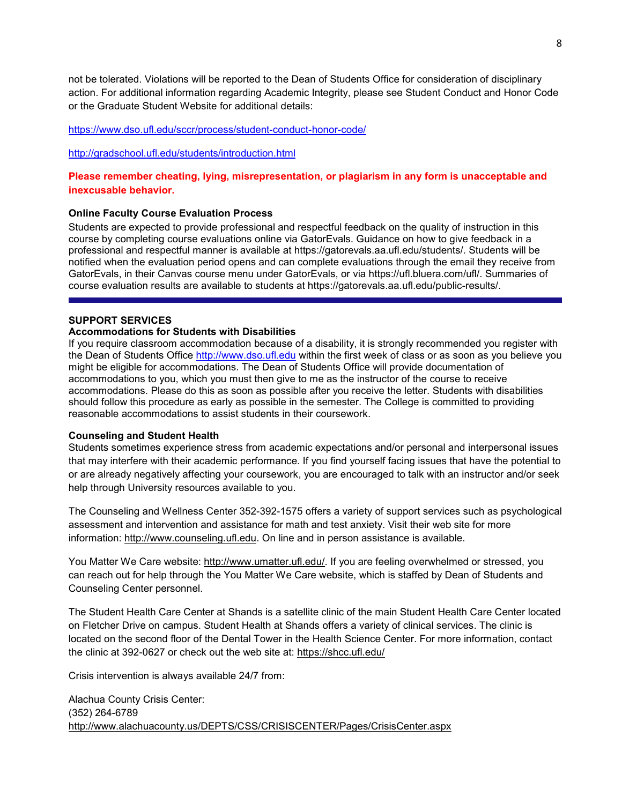not be tolerated. Violations will be reported to the Dean of Students Office for consideration of disciplinary action. For additional information regarding Academic Integrity, please see Student Conduct and Honor Code or the Graduate Student Website for additional details:

#### <https://www.dso.ufl.edu/sccr/process/student-conduct-honor-code/>

#### <http://gradschool.ufl.edu/students/introduction.html>

### **Please remember cheating, lying, misrepresentation, or plagiarism in any form is unacceptable and inexcusable behavior.**

#### **Online Faculty Course Evaluation Process**

Students are expected to provide professional and respectful feedback on the quality of instruction in this course by completing course evaluations online via GatorEvals. Guidance on how to give feedback in a professional and respectful manner is available at https://gatorevals.aa.ufl.edu/students/. Students will be notified when the evaluation period opens and can complete evaluations through the email they receive from GatorEvals, in their Canvas course menu under GatorEvals, or via https://ufl.bluera.com/ufl/. Summaries of course evaluation results are available to students at https://gatorevals.aa.ufl.edu/public-results/.

# **SUPPORT SERVICES**

#### **Accommodations for Students with Disabilities**

If you require classroom accommodation because of a disability, it is strongly recommended you register with the Dean of Students Office [http://www.dso.ufl.edu](http://www.dso.ufl.edu/) within the first week of class or as soon as you believe you might be eligible for accommodations. The Dean of Students Office will provide documentation of accommodations to you, which you must then give to me as the instructor of the course to receive accommodations. Please do this as soon as possible after you receive the letter. Students with disabilities should follow this procedure as early as possible in the semester. The College is committed to providing reasonable accommodations to assist students in their coursework.

#### **Counseling and Student Health**

Students sometimes experience stress from academic expectations and/or personal and interpersonal issues that may interfere with their academic performance. If you find yourself facing issues that have the potential to or are already negatively affecting your coursework, you are encouraged to talk with an instructor and/or seek help through University resources available to you.

The Counseling and Wellness Center 352-392-1575 offers a variety of support services such as psychological assessment and intervention and assistance for math and test anxiety. Visit their web site for more information: [http://www.counseling.ufl.edu.](http://www.counseling.ufl.edu/) On line and in person assistance is available.

You Matter We Care website: [http://www.umatter.ufl.edu/.](http://www.umatter.ufl.edu/) If you are feeling overwhelmed or stressed, you can reach out for help through the You Matter We Care website, which is staffed by Dean of Students and Counseling Center personnel.

The Student Health Care Center at Shands is a satellite clinic of the main Student Health Care Center located on Fletcher Drive on campus. Student Health at Shands offers a variety of clinical services. The clinic is located on the second floor of the Dental Tower in the Health Science Center. For more information, contact the clinic at 392-0627 or check out the web site at: <https://shcc.ufl.edu/>

Crisis intervention is always available 24/7 from:

Alachua County Crisis Center: (352) 264-6789 <http://www.alachuacounty.us/DEPTS/CSS/CRISISCENTER/Pages/CrisisCenter.aspx>